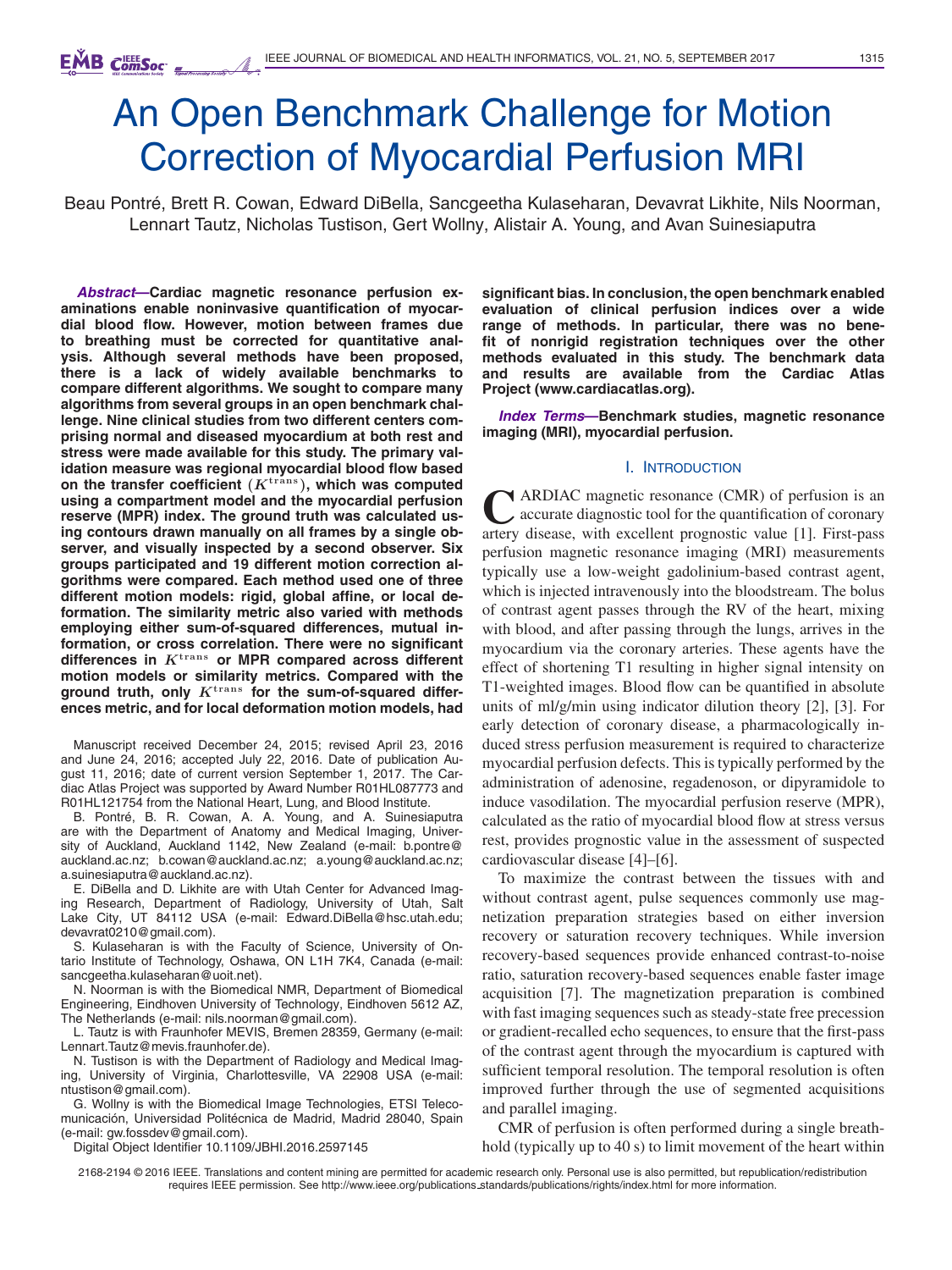# An Open Benchmark Challenge for Motion Correction of Myocardial Perfusion MRI

Beau Pontre, Brett R. Cowan, Edward DiBella, Sancgeetha Kulaseharan, Devavrat Likhite, Nils Noorman, ´ Lennart Tautz, Nicholas Tustison, Gert Wollny, Alistair A. Young, and Avan Suinesiaputra

*Abstract***—Cardiac magnetic resonance perfusion examinations enable noninvasive quantification of myocardial blood flow. However, motion between frames due to breathing must be corrected for quantitative analysis. Although several methods have been proposed, there is a lack of widely available benchmarks to compare different algorithms. We sought to compare many algorithms from several groups in an open benchmark challenge. Nine clinical studies from two different centers comprising normal and diseased myocardium at both rest and stress were made available for this study. The primary validation measure was regional myocardial blood flow based on the transfer coefficient (***K***trans ), which was computed using a compartment model and the myocardial perfusion reserve (MPR) index. The ground truth was calculated using contours drawn manually on all frames by a single observer, and visually inspected by a second observer. Six groups participated and 19 different motion correction algorithms were compared. Each method used one of three different motion models: rigid, global affine, or local deformation. The similarity metric also varied with methods employing either sum-of-squared differences, mutual information, or cross correlation. There were no significant differences in** *K***trans or MPR compared across different motion models or similarity metrics. Compared with the ground truth, only** *K***trans for the sum-of-squared differences metric, and for local deformation motion models, had**

Manuscript received December 24, 2015; revised April 23, 2016 and June 24, 2016; accepted July 22, 2016. Date of publication August 11, 2016; date of current version September 1, 2017. The Cardiac Atlas Project was supported by Award Number R01HL087773 and R01HL121754 from the National Heart, Lung, and Blood Institute.

B. Pontré, B. R. Cowan, A. A. Young, and A. Suinesiaputra are with the Department of Anatomy and Medical Imaging, University of Auckland, Auckland 1142, New Zealand (e-mail: b.pontre@ auckland.ac.nz; b.cowan@auckland.ac.nz; a.young@auckland.ac.nz; a.suinesiaputra@auckland.ac.nz).

E. DiBella and D. Likhite are with Utah Center for Advanced Imaging Research, Department of Radiology, University of Utah, Salt Lake City, UT 84112 USA (e-mail: Edward.DiBella@hsc.utah.edu; devavrat0210@gmail.com).

S. Kulaseharan is with the Faculty of Science, University of Ontario Institute of Technology, Oshawa, ON L1H 7K4, Canada (e-mail: sancgeetha.kulaseharan@uoit.net).

N. Noorman is with the Biomedical NMR, Department of Biomedical Engineering, Eindhoven University of Technology, Eindhoven 5612 AZ, The Netherlands (e-mail: nils.noorman@gmail.com).

L. Tautz is with Fraunhofer MEVIS, Bremen 28359, Germany (e-mail: Lennart.Tautz@mevis.fraunhofer.de).

N. Tustison is with the Department of Radiology and Medical Imaging, University of Virginia, Charlottesville, VA 22908 USA (e-mail: ntustison@gmail.com).

G. Wollny is with the Biomedical Image Technologies, ETSI Telecomunicación, Universidad Politécnica de Madrid, Madrid 28040, Spain (e-mail: gw.fossdev@gmail.com).

Digital Object Identifier 10.1109/JBHI.2016.2597145

**significant bias. In conclusion, the open benchmark enabled evaluation of clinical perfusion indices over a wide range of methods. In particular, there was no benefit of nonrigid registration techniques over the other methods evaluated in this study. The benchmark data and results are available from the Cardiac Atlas Project (www.cardiacatlas.org).**

*Index Terms***—Benchmark studies, magnetic resonance imaging (MRI), myocardial perfusion.**

### I. INTRODUCTION

**CARDIAC** magnetic resonance (CMR) of perfusion is an accurate diagnostic tool for the quantification of coronary artery disease, with excellent prognostic value [1]. First-pass perfusion magnetic resonance imaging (MRI) measurements typically use a low-weight gadolinium-based contrast agent, which is injected intravenously into the bloodstream. The bolus of contrast agent passes through the RV of the heart, mixing with blood, and after passing through the lungs, arrives in the myocardium via the coronary arteries. These agents have the effect of shortening T1 resulting in higher signal intensity on T1-weighted images. Blood flow can be quantified in absolute units of ml/g/min using indicator dilution theory [2], [3]. For early detection of coronary disease, a pharmacologically induced stress perfusion measurement is required to characterize myocardial perfusion defects. This is typically performed by the administration of adenosine, regadenoson, or dipyramidole to induce vasodilation. The myocardial perfusion reserve (MPR), calculated as the ratio of myocardial blood flow at stress versus rest, provides prognostic value in the assessment of suspected cardiovascular disease [4]–[6].

To maximize the contrast between the tissues with and without contrast agent, pulse sequences commonly use magnetization preparation strategies based on either inversion recovery or saturation recovery techniques. While inversion recovery-based sequences provide enhanced contrast-to-noise ratio, saturation recovery-based sequences enable faster image acquisition [7]. The magnetization preparation is combined with fast imaging sequences such as steady-state free precession or gradient-recalled echo sequences, to ensure that the first-pass of the contrast agent through the myocardium is captured with sufficient temporal resolution. The temporal resolution is often improved further through the use of segmented acquisitions and parallel imaging.

CMR of perfusion is often performed during a single breathhold (typically up to 40 s) to limit movement of the heart within

2168-2194 © 2016 IEEE. Translations and content mining are permitted for academic research only. Personal use is also permitted, but republication/redistribution requires IEEE permission. See http://www.ieee.org/publications standards/publications/rights/index.html for more information.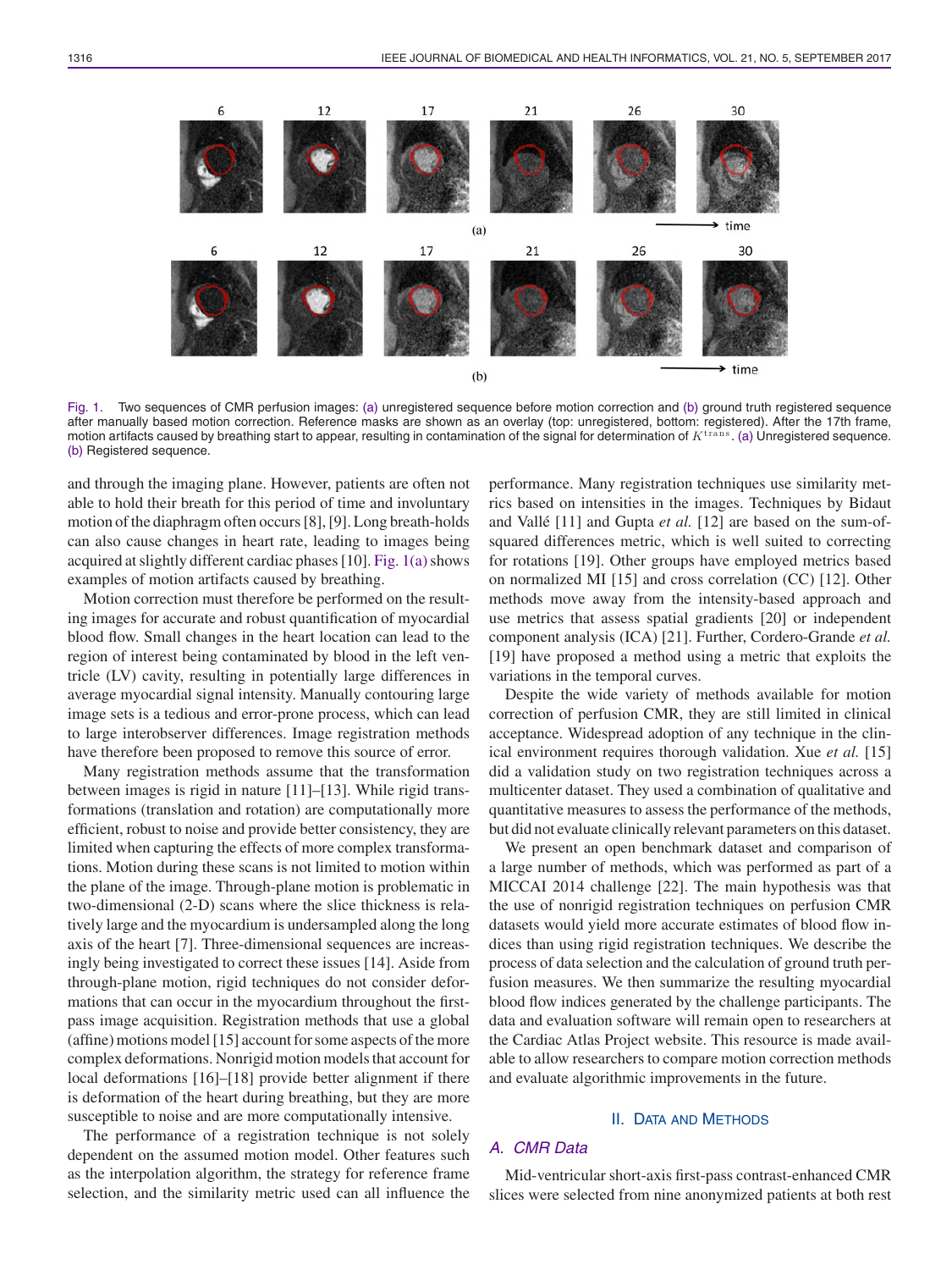

Fig. 1. Two sequences of CMR perfusion images: (a) unregistered sequence before motion correction and (b) ground truth registered sequence after manually based motion correction. Reference masks are shown as an overlay (top: unregistered, bottom: registered). After the 17th frame, motion artifacts caused by breathing start to appear, resulting in contamination of the signal for determination of  $K^{\text{trains}}$ . (a) Unregistered sequence. (b) Registered sequence.

and through the imaging plane. However, patients are often not able to hold their breath for this period of time and involuntary motion of the diaphragm often occurs [8], [9]. Long breath-holds can also cause changes in heart rate, leading to images being acquired at slightly different cardiac phases  $[10]$ . Fig.  $1(a)$  shows examples of motion artifacts caused by breathing.

Motion correction must therefore be performed on the resulting images for accurate and robust quantification of myocardial blood flow. Small changes in the heart location can lead to the region of interest being contaminated by blood in the left ventricle (LV) cavity, resulting in potentially large differences in average myocardial signal intensity. Manually contouring large image sets is a tedious and error-prone process, which can lead to large interobserver differences. Image registration methods have therefore been proposed to remove this source of error.

Many registration methods assume that the transformation between images is rigid in nature [11]–[13]. While rigid transformations (translation and rotation) are computationally more efficient, robust to noise and provide better consistency, they are limited when capturing the effects of more complex transformations. Motion during these scans is not limited to motion within the plane of the image. Through-plane motion is problematic in two-dimensional (2-D) scans where the slice thickness is relatively large and the myocardium is undersampled along the long axis of the heart [7]. Three-dimensional sequences are increasingly being investigated to correct these issues [14]. Aside from through-plane motion, rigid techniques do not consider deformations that can occur in the myocardium throughout the firstpass image acquisition. Registration methods that use a global (affine) motions model [15] account for some aspects of the more complex deformations. Nonrigid motion models that account for local deformations [16]–[18] provide better alignment if there is deformation of the heart during breathing, but they are more susceptible to noise and are more computationally intensive.

The performance of a registration technique is not solely dependent on the assumed motion model. Other features such as the interpolation algorithm, the strategy for reference frame selection, and the similarity metric used can all influence the performance. Many registration techniques use similarity metrics based on intensities in the images. Techniques by Bidaut and Vallé [11] and Gupta *et al.* [12] are based on the sum-ofsquared differences metric, which is well suited to correcting for rotations [19]. Other groups have employed metrics based on normalized MI [15] and cross correlation (CC) [12]. Other methods move away from the intensity-based approach and use metrics that assess spatial gradients [20] or independent component analysis (ICA) [21]. Further, Cordero-Grande *et al.* [19] have proposed a method using a metric that exploits the variations in the temporal curves.

Despite the wide variety of methods available for motion correction of perfusion CMR, they are still limited in clinical acceptance. Widespread adoption of any technique in the clinical environment requires thorough validation. Xue *et al.* [15] did a validation study on two registration techniques across a multicenter dataset. They used a combination of qualitative and quantitative measures to assess the performance of the methods, but did not evaluate clinically relevant parameters on this dataset.

We present an open benchmark dataset and comparison of a large number of methods, which was performed as part of a MICCAI 2014 challenge [22]. The main hypothesis was that the use of nonrigid registration techniques on perfusion CMR datasets would yield more accurate estimates of blood flow indices than using rigid registration techniques. We describe the process of data selection and the calculation of ground truth perfusion measures. We then summarize the resulting myocardial blood flow indices generated by the challenge participants. The data and evaluation software will remain open to researchers at the Cardiac Atlas Project website. This resource is made available to allow researchers to compare motion correction methods and evaluate algorithmic improvements in the future.

### II. DATA AND METHODS

# *A. CMR Data*

Mid-ventricular short-axis first-pass contrast-enhanced CMR slices were selected from nine anonymized patients at both rest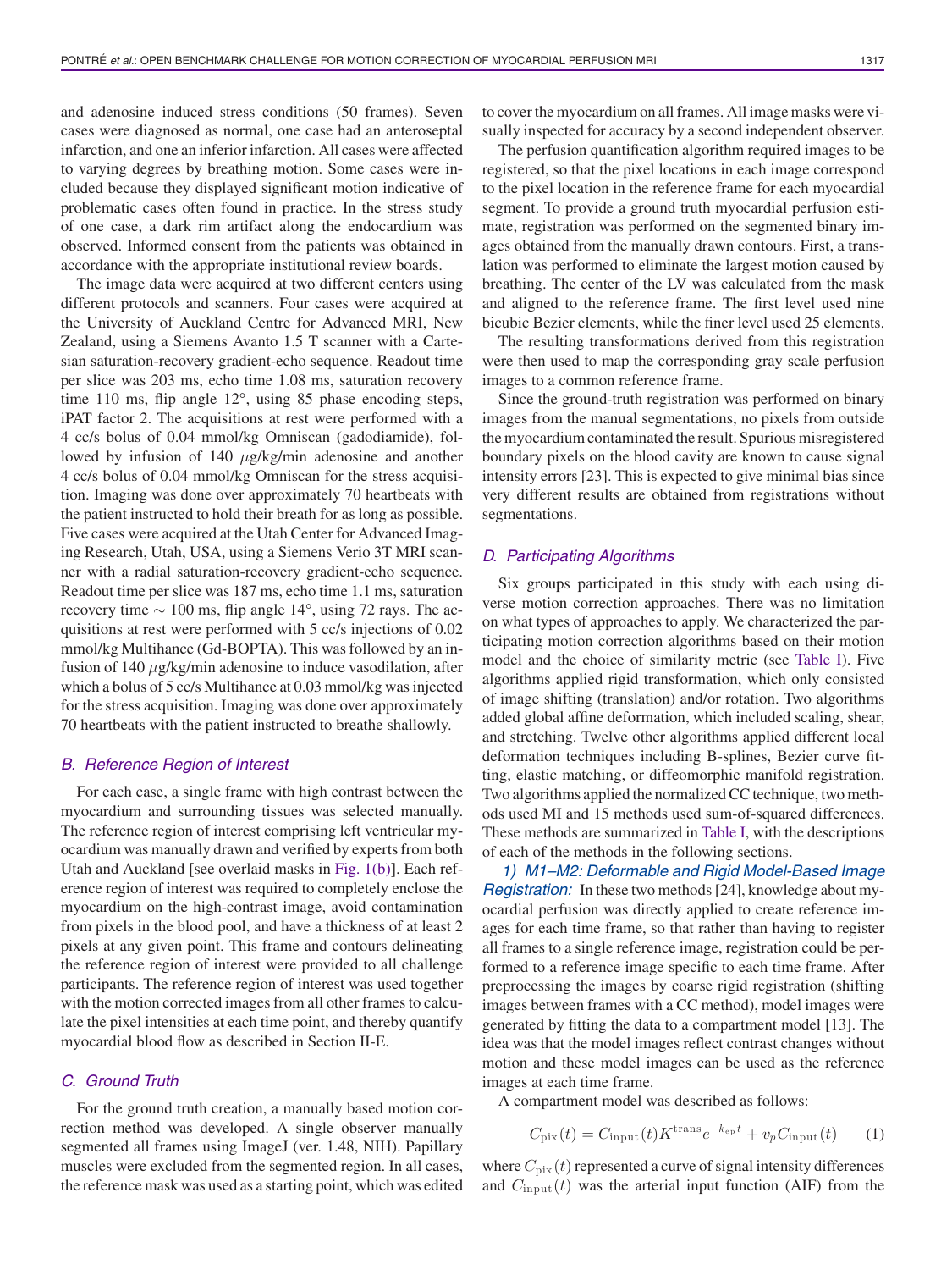and adenosine induced stress conditions (50 frames). Seven cases were diagnosed as normal, one case had an anteroseptal infarction, and one an inferior infarction. All cases were affected to varying degrees by breathing motion. Some cases were included because they displayed significant motion indicative of problematic cases often found in practice. In the stress study of one case, a dark rim artifact along the endocardium was observed. Informed consent from the patients was obtained in accordance with the appropriate institutional review boards.

The image data were acquired at two different centers using different protocols and scanners. Four cases were acquired at the University of Auckland Centre for Advanced MRI, New Zealand, using a Siemens Avanto 1.5 T scanner with a Cartesian saturation-recovery gradient-echo sequence. Readout time per slice was 203 ms, echo time 1.08 ms, saturation recovery time 110 ms, flip angle 12°, using 85 phase encoding steps, iPAT factor 2. The acquisitions at rest were performed with a 4 cc/s bolus of 0.04 mmol/kg Omniscan (gadodiamide), followed by infusion of 140 μg/kg/min adenosine and another 4 cc/s bolus of 0.04 mmol/kg Omniscan for the stress acquisition. Imaging was done over approximately 70 heartbeats with the patient instructed to hold their breath for as long as possible. Five cases were acquired at the Utah Center for Advanced Imaging Research, Utah, USA, using a Siemens Verio 3T MRI scanner with a radial saturation-recovery gradient-echo sequence. Readout time per slice was 187 ms, echo time 1.1 ms, saturation recovery time  $\sim 100$  ms, flip angle 14°, using 72 rays. The acquisitions at rest were performed with 5 cc/s injections of 0.02 mmol/kg Multihance (Gd-BOPTA). This was followed by an infusion of 140  $\mu$ g/kg/min adenosine to induce vasodilation, after which a bolus of 5 cc/s Multihance at 0.03 mmol/kg was injected for the stress acquisition. Imaging was done over approximately 70 heartbeats with the patient instructed to breathe shallowly.

#### *B. Reference Region of Interest*

For each case, a single frame with high contrast between the myocardium and surrounding tissues was selected manually. The reference region of interest comprising left ventricular myocardium was manually drawn and verified by experts from both Utah and Auckland [see overlaid masks in Fig. 1(b)]. Each reference region of interest was required to completely enclose the myocardium on the high-contrast image, avoid contamination from pixels in the blood pool, and have a thickness of at least 2 pixels at any given point. This frame and contours delineating the reference region of interest were provided to all challenge participants. The reference region of interest was used together with the motion corrected images from all other frames to calculate the pixel intensities at each time point, and thereby quantify myocardial blood flow as described in Section II-E.

## *C. Ground Truth*

For the ground truth creation, a manually based motion correction method was developed. A single observer manually segmented all frames using ImageJ (ver. 1.48, NIH). Papillary muscles were excluded from the segmented region. In all cases, the reference mask was used as a starting point, which was edited to cover the myocardium on all frames. All image masks were visually inspected for accuracy by a second independent observer.

The perfusion quantification algorithm required images to be registered, so that the pixel locations in each image correspond to the pixel location in the reference frame for each myocardial segment. To provide a ground truth myocardial perfusion estimate, registration was performed on the segmented binary images obtained from the manually drawn contours. First, a translation was performed to eliminate the largest motion caused by breathing. The center of the LV was calculated from the mask and aligned to the reference frame. The first level used nine bicubic Bezier elements, while the finer level used 25 elements.

The resulting transformations derived from this registration were then used to map the corresponding gray scale perfusion images to a common reference frame.

Since the ground-truth registration was performed on binary images from the manual segmentations, no pixels from outside the myocardium contaminated the result. Spurious misregistered boundary pixels on the blood cavity are known to cause signal intensity errors [23]. This is expected to give minimal bias since very different results are obtained from registrations without segmentations.

#### *D. Participating Algorithms*

Six groups participated in this study with each using diverse motion correction approaches. There was no limitation on what types of approaches to apply. We characterized the participating motion correction algorithms based on their motion model and the choice of similarity metric (see Table I). Five algorithms applied rigid transformation, which only consisted of image shifting (translation) and/or rotation. Two algorithms added global affine deformation, which included scaling, shear, and stretching. Twelve other algorithms applied different local deformation techniques including B-splines, Bezier curve fitting, elastic matching, or diffeomorphic manifold registration. Two algorithms applied the normalized CC technique, two methods used MI and 15 methods used sum-of-squared differences. These methods are summarized in Table I, with the descriptions of each of the methods in the following sections.

*1) M1–M2: Deformable and Rigid Model-Based Image Registration:* In these two methods [24], knowledge about myocardial perfusion was directly applied to create reference images for each time frame, so that rather than having to register all frames to a single reference image, registration could be performed to a reference image specific to each time frame. After preprocessing the images by coarse rigid registration (shifting images between frames with a CC method), model images were generated by fitting the data to a compartment model [13]. The idea was that the model images reflect contrast changes without motion and these model images can be used as the reference images at each time frame.

A compartment model was described as follows:

$$
C_{\text{pix}}(t) = C_{\text{input}}(t) K^{\text{trans}} e^{-k_{\text{ep}}t} + v_p C_{\text{input}}(t) \qquad (1)
$$

where  $C_{\text{pix}}(t)$  represented a curve of signal intensity differences and  $C_{\text{input}}(t)$  was the arterial input function (AIF) from the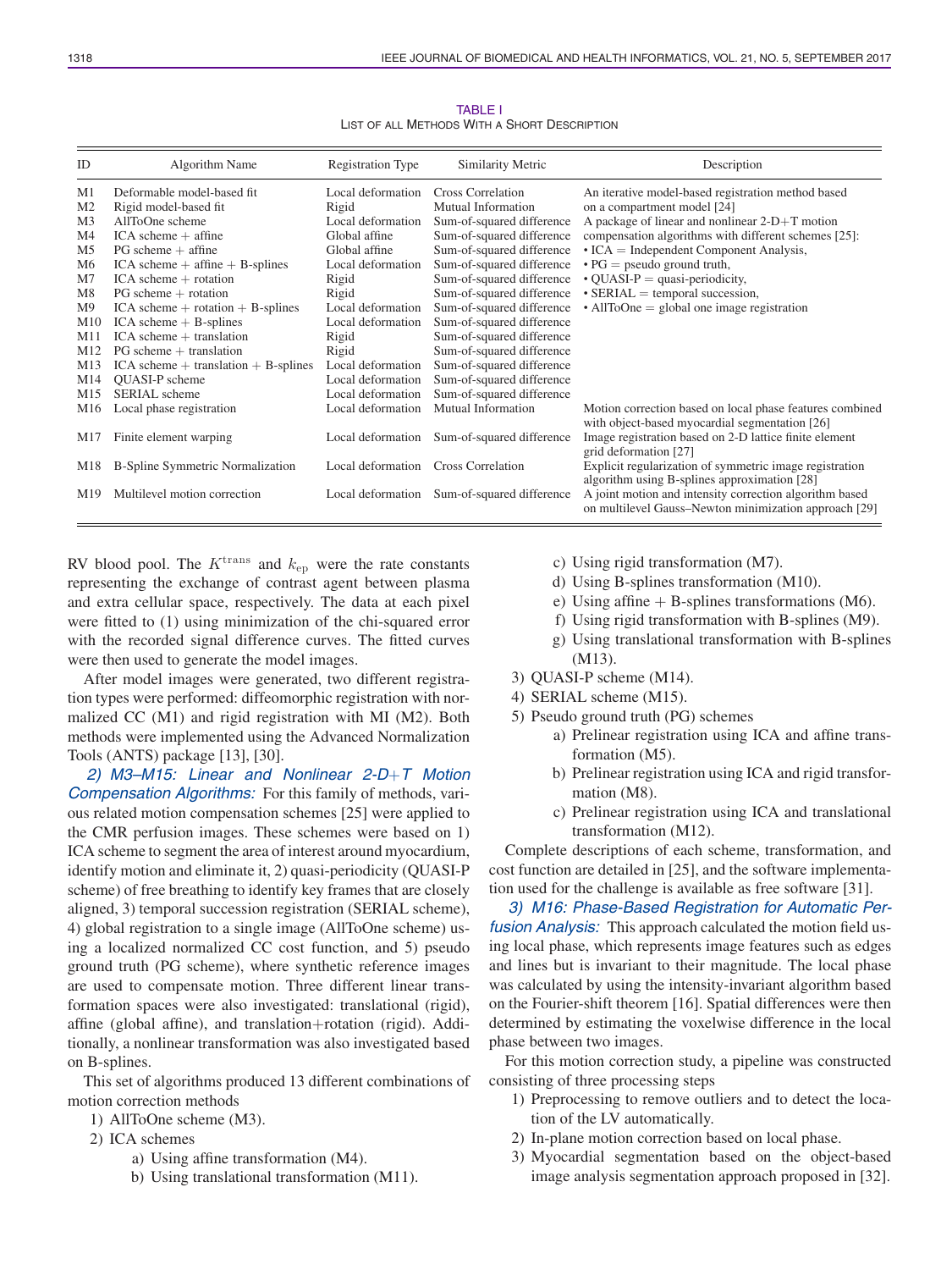| ID              | Algorithm Name                          | Registration Type | Similarity Metric         | Description                                              |
|-----------------|-----------------------------------------|-------------------|---------------------------|----------------------------------------------------------|
| M1              | Deformable model-based fit              | Local deformation | <b>Cross Correlation</b>  | An iterative model-based registration method based       |
| M <sub>2</sub>  | Rigid model-based fit                   | Rigid             | Mutual Information        | on a compartment model [24]                              |
| M <sub>3</sub>  | AllToOne scheme                         | Local deformation | Sum-of-squared difference | A package of linear and nonlinear $2-D+T$ motion         |
| M4              | $ICA$ scheme $+$ affine                 | Global affine     | Sum-of-squared difference | compensation algorithms with different schemes [25]:     |
| M <sub>5</sub>  | $PG$ scheme $+$ affine                  | Global affine     | Sum-of-squared difference | $\cdot$ ICA = Independent Component Analysis,            |
| M <sub>6</sub>  | $ICA$ scheme $+$ affine $+$ B-splines   | Local deformation | Sum-of-squared difference | $\cdot$ PG = pseudo ground truth,                        |
| M <sub>7</sub>  | $ICA$ scheme $+$ rotation               | Rigid             | Sum-of-squared difference | $\cdot$ QUASI-P = quasi-periodicity,                     |
| M8              | $PG$ scheme $+$ rotation                | Rigid             | Sum-of-squared difference | $\cdot$ SERIAL = temporal succession,                    |
| M <sub>9</sub>  | $ICA$ scheme $+$ rotation $+$ B-splines | Local deformation | Sum-of-squared difference | $\cdot$ AllToOne = global one image registration         |
| M10             | $ICA$ scheme $+$ B-splines              | Local deformation | Sum-of-squared difference |                                                          |
| M11             | $ICA$ scheme $+$ translation            | Rigid             | Sum-of-squared difference |                                                          |
| M12             | $PG$ scheme $+$ translation             | Rigid             | Sum-of-squared difference |                                                          |
| M13             | $ICA scheme + translation + B-splines$  | Local deformation | Sum-of-squared difference |                                                          |
| M14             | <b>OUASI-P</b> scheme                   | Local deformation | Sum-of-squared difference |                                                          |
| M15             | SERIAL scheme                           | Local deformation | Sum-of-squared difference |                                                          |
| M16             | Local phase registration                | Local deformation | Mutual Information        | Motion correction based on local phase features combined |
|                 |                                         |                   |                           | with object-based myocardial segmentation [26]           |
| M17             | Finite element warping                  | Local deformation | Sum-of-squared difference | Image registration based on 2-D lattice finite element   |
|                 |                                         |                   |                           | grid deformation [27]                                    |
| M18             | B-Spline Symmetric Normalization        | Local deformation | <b>Cross Correlation</b>  | Explicit regularization of symmetric image registration  |
|                 |                                         |                   |                           | algorithm using B-splines approximation [28]             |
| M <sub>19</sub> | Multilevel motion correction            | Local deformation | Sum-of-squared difference | A joint motion and intensity correction algorithm based  |
|                 |                                         |                   |                           | on multilevel Gauss-Newton minimization approach [29]    |

TABLE I LIST OF ALL METHODS WITH A SHORT DESCRIPTION

RV blood pool. The  $K^{\text{trans}}$  and  $k_{\text{ep}}$  were the rate constants representing the exchange of contrast agent between plasma and extra cellular space, respectively. The data at each pixel were fitted to (1) using minimization of the chi-squared error with the recorded signal difference curves. The fitted curves were then used to generate the model images.

After model images were generated, two different registration types were performed: diffeomorphic registration with normalized CC (M1) and rigid registration with MI (M2). Both methods were implemented using the Advanced Normalization Tools (ANTS) package [13], [30].

*2) M3–M15: Linear and Nonlinear 2-D*+*T Motion Compensation Algorithms:* For this family of methods, various related motion compensation schemes [25] were applied to the CMR perfusion images. These schemes were based on 1) ICA scheme to segment the area of interest around myocardium, identify motion and eliminate it, 2) quasi-periodicity (QUASI-P scheme) of free breathing to identify key frames that are closely aligned, 3) temporal succession registration (SERIAL scheme), 4) global registration to a single image (AllToOne scheme) using a localized normalized CC cost function, and 5) pseudo ground truth (PG scheme), where synthetic reference images are used to compensate motion. Three different linear transformation spaces were also investigated: translational (rigid), affine (global affine), and translation+rotation (rigid). Additionally, a nonlinear transformation was also investigated based on B-splines.

This set of algorithms produced 13 different combinations of motion correction methods

- 1) AllToOne scheme (M3).
- 2) ICA schemes
	- a) Using affine transformation (M4).
	- b) Using translational transformation (M11).
- c) Using rigid transformation (M7).
- d) Using B-splines transformation (M10).
- e) Using affine  $+$  B-splines transformations (M6).
- f) Using rigid transformation with B-splines (M9).
- g) Using translational transformation with B-splines (M13).
- 3) QUASI-P scheme (M14).
- 4) SERIAL scheme (M15).
- 5) Pseudo ground truth (PG) schemes
	- a) Prelinear registration using ICA and affine transformation (M5).
	- b) Prelinear registration using ICA and rigid transformation (M8).
	- c) Prelinear registration using ICA and translational transformation (M12).

Complete descriptions of each scheme, transformation, and cost function are detailed in [25], and the software implementation used for the challenge is available as free software [31].

*3) M16: Phase-Based Registration for Automatic Perfusion Analysis:* This approach calculated the motion field using local phase, which represents image features such as edges and lines but is invariant to their magnitude. The local phase was calculated by using the intensity-invariant algorithm based on the Fourier-shift theorem [16]. Spatial differences were then determined by estimating the voxelwise difference in the local phase between two images.

For this motion correction study, a pipeline was constructed consisting of three processing steps

- 1) Preprocessing to remove outliers and to detect the location of the LV automatically.
- 2) In-plane motion correction based on local phase.
- 3) Myocardial segmentation based on the object-based image analysis segmentation approach proposed in [32].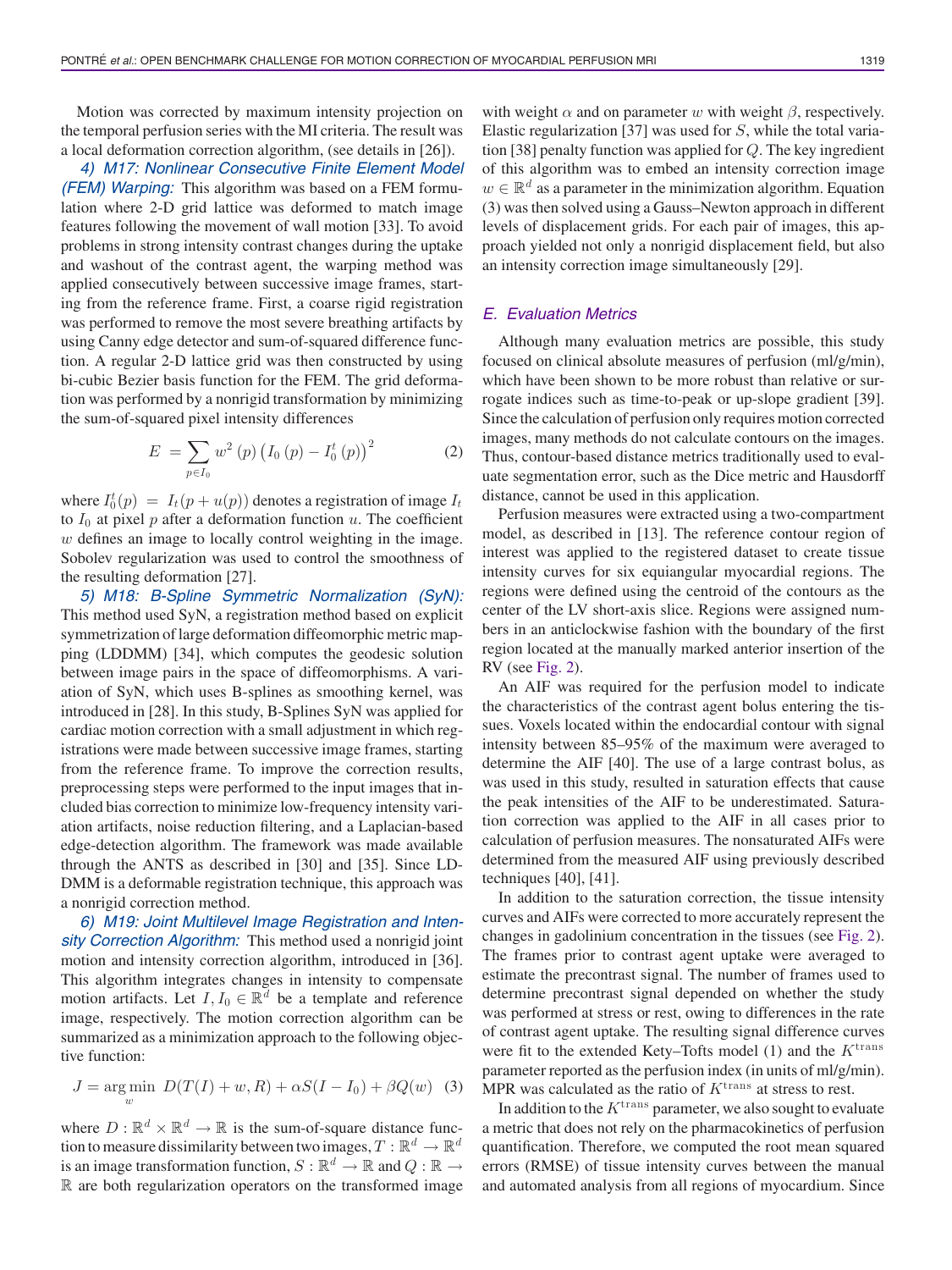Motion was corrected by maximum intensity projection on the temporal perfusion series with the MI criteria. The result was a local deformation correction algorithm, (see details in [26]).

*4) M17: Nonlinear Consecutive Finite Element Model (FEM) Warping:* This algorithm was based on a FEM formulation where 2-D grid lattice was deformed to match image features following the movement of wall motion [33]. To avoid problems in strong intensity contrast changes during the uptake and washout of the contrast agent, the warping method was applied consecutively between successive image frames, starting from the reference frame. First, a coarse rigid registration was performed to remove the most severe breathing artifacts by using Canny edge detector and sum-of-squared difference function. A regular 2-D lattice grid was then constructed by using bi-cubic Bezier basis function for the FEM. The grid deformation was performed by a nonrigid transformation by minimizing the sum-of-squared pixel intensity differences

$$
E = \sum_{p \in I_0} w^2 (p) (I_0 (p) - I_0^t (p))^2
$$
 (2)

where  $I_0^t(p) = I_t(p + u(p))$  denotes a registration of image  $I_t$ <br>to  $I_0$  at pixel n after a deformation function u. The coefficient to  $I_0$  at pixel p after a deformation function u. The coefficient w defines an image to locally control weighting in the image. Sobolev regularization was used to control the smoothness of the resulting deformation [27].

*5) M18: B-Spline Symmetric Normalization (SyN):* This method used SyN, a registration method based on explicit symmetrization of large deformation diffeomorphic metric mapping (LDDMM) [34], which computes the geodesic solution between image pairs in the space of diffeomorphisms. A variation of SyN, which uses B-splines as smoothing kernel, was introduced in [28]. In this study, B-Splines SyN was applied for cardiac motion correction with a small adjustment in which registrations were made between successive image frames, starting from the reference frame. To improve the correction results, preprocessing steps were performed to the input images that included bias correction to minimize low-frequency intensity variation artifacts, noise reduction filtering, and a Laplacian-based edge-detection algorithm. The framework was made available through the ANTS as described in [30] and [35]. Since LD-DMM is a deformable registration technique, this approach was a nonrigid correction method.

*6) M19: Joint Multilevel Image Registration and Intensity Correction Algorithm:* This method used a nonrigid joint motion and intensity correction algorithm, introduced in [36]. This algorithm integrates changes in intensity to compensate motion artifacts. Let  $I, I_0 \in \mathbb{R}^d$  be a template and reference image, respectively. The motion correction algorithm can be summarized as a minimization approach to the following objective function:

$$
J = \underset{w}{\text{arg min}} \ D(T(I) + w, R) + \alpha S(I - I_0) + \beta Q(w) \tag{3}
$$

where  $D : \mathbb{R}^d \times \mathbb{R}^d \to \mathbb{R}$  is the sum-of-square distance function to measure dissimilarity between two images,  $T : \mathbb{R}^d \to \mathbb{R}^d$ is an image transformation function,  $S : \mathbb{R}^d \to \mathbb{R}$  and  $Q : \mathbb{R} \to$ R are both regularization operators on the transformed image with weight  $\alpha$  and on parameter w with weight  $\beta$ , respectively. Elastic regularization [37] was used for  $S$ , while the total variation [38] penalty function was applied for Q. The key ingredient of this algorithm was to embed an intensity correction image  $w \in \mathbb{R}^d$  as a parameter in the minimization algorithm. Equation (3) was then solved using a Gauss–Newton approach in different levels of displacement grids. For each pair of images, this approach yielded not only a nonrigid displacement field, but also an intensity correction image simultaneously [29].

## *E. Evaluation Metrics*

Although many evaluation metrics are possible, this study focused on clinical absolute measures of perfusion (ml/g/min), which have been shown to be more robust than relative or surrogate indices such as time-to-peak or up-slope gradient [39]. Since the calculation of perfusion only requires motion corrected images, many methods do not calculate contours on the images. Thus, contour-based distance metrics traditionally used to evaluate segmentation error, such as the Dice metric and Hausdorff distance, cannot be used in this application.

Perfusion measures were extracted using a two-compartment model, as described in [13]. The reference contour region of interest was applied to the registered dataset to create tissue intensity curves for six equiangular myocardial regions. The regions were defined using the centroid of the contours as the center of the LV short-axis slice. Regions were assigned numbers in an anticlockwise fashion with the boundary of the first region located at the manually marked anterior insertion of the RV (see Fig. 2).

An AIF was required for the perfusion model to indicate the characteristics of the contrast agent bolus entering the tissues. Voxels located within the endocardial contour with signal intensity between 85–95% of the maximum were averaged to determine the AIF [40]. The use of a large contrast bolus, as was used in this study, resulted in saturation effects that cause the peak intensities of the AIF to be underestimated. Saturation correction was applied to the AIF in all cases prior to calculation of perfusion measures. The nonsaturated AIFs were determined from the measured AIF using previously described techniques [40], [41].

In addition to the saturation correction, the tissue intensity curves and AIFs were corrected to more accurately represent the changes in gadolinium concentration in the tissues (see Fig. 2). The frames prior to contrast agent uptake were averaged to estimate the precontrast signal. The number of frames used to determine precontrast signal depended on whether the study was performed at stress or rest, owing to differences in the rate of contrast agent uptake. The resulting signal difference curves were fit to the extended Kety–Tofts model (1) and the  $K^{\text{trans}}$ parameter reported as the perfusion index (in units of ml/g/min). MPR was calculated as the ratio of  $K<sup>trans</sup>$  at stress to rest.

In addition to the  $K^{\text{trans}}$  parameter, we also sought to evaluate a metric that does not rely on the pharmacokinetics of perfusion quantification. Therefore, we computed the root mean squared errors (RMSE) of tissue intensity curves between the manual and automated analysis from all regions of myocardium. Since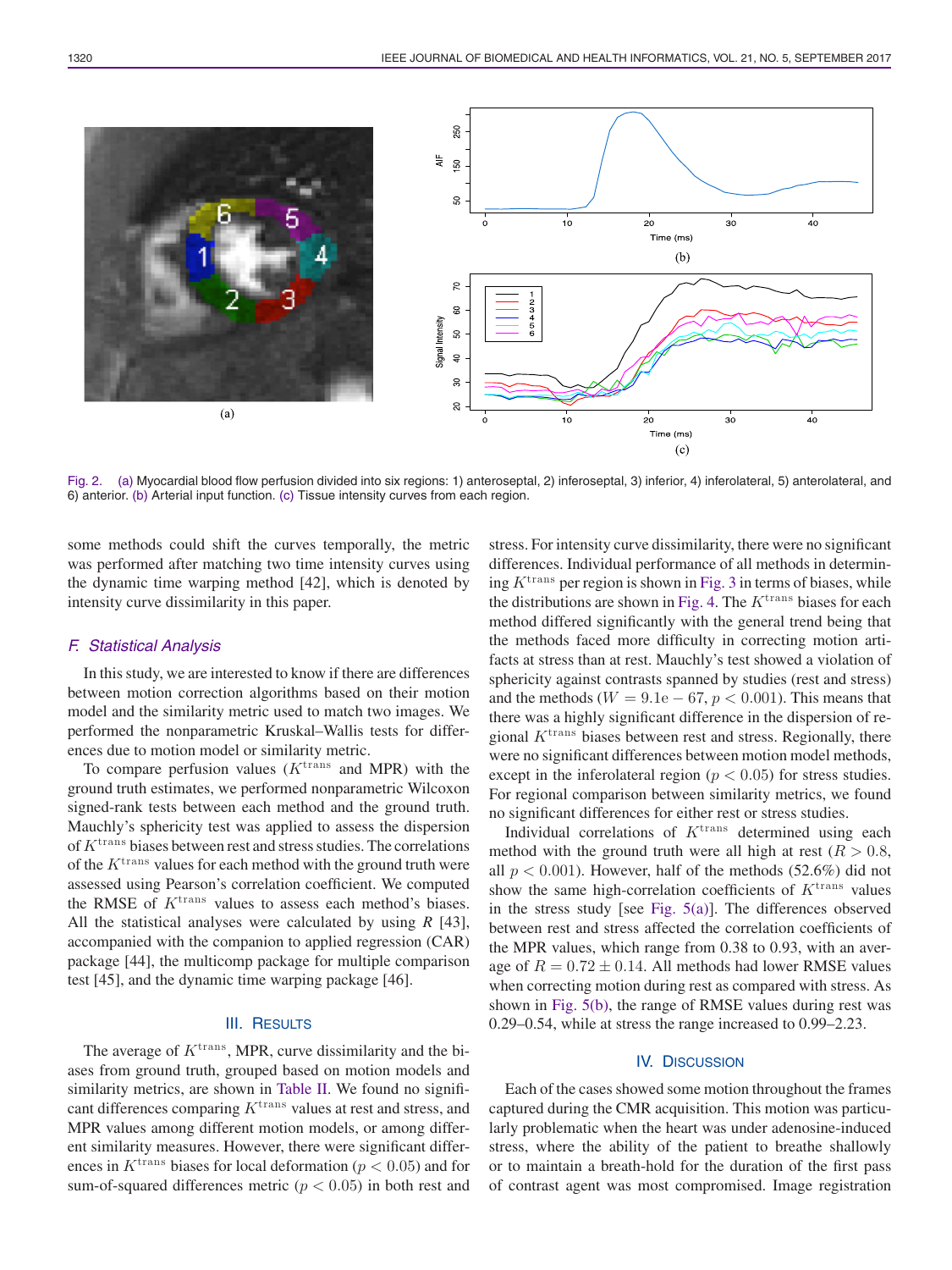

Fig. 2. (a) Myocardial blood flow perfusion divided into six regions: 1) anteroseptal, 2) inferoseptal, 3) inferior, 4) inferolateral, 5) anterolateral, and 6) anterior. (b) Arterial input function. (c) Tissue intensity curves from each region.

some methods could shift the curves temporally, the metric was performed after matching two time intensity curves using the dynamic time warping method [42], which is denoted by intensity curve dissimilarity in this paper.

#### *F. Statistical Analysis*

In this study, we are interested to know if there are differences between motion correction algorithms based on their motion model and the similarity metric used to match two images. We performed the nonparametric Kruskal–Wallis tests for differences due to motion model or similarity metric.

To compare perfusion values  $(K^{\text{trans}})$  and MPR) with the ground truth estimates, we performed nonparametric Wilcoxon signed-rank tests between each method and the ground truth. Mauchly's sphericity test was applied to assess the dispersion of  $K^{\text{trans}}$  biases between rest and stress studies. The correlations of the  $K^{\text{trans}}$  values for each method with the ground truth were assessed using Pearson's correlation coefficient. We computed the RMSE of  $K^{\text{trans}}$  values to assess each method's biases. All the statistical analyses were calculated by using *R* [43], accompanied with the companion to applied regression (CAR) package [44], the multicomp package for multiple comparison test [45], and the dynamic time warping package [46].

# III. RESULTS

The average of  $K^{\text{trans}}$ , MPR, curve dissimilarity and the biases from ground truth, grouped based on motion models and similarity metrics, are shown in Table II. We found no significant differences comparing  $K^{\text{trans}}$  values at rest and stress, and MPR values among different motion models, or among different similarity measures. However, there were significant differences in  $K^{\text{trans}}$  biases for local deformation ( $p < 0.05$ ) and for sum-of-squared differences metric ( $p < 0.05$ ) in both rest and

stress. For intensity curve dissimilarity, there were no significant differences. Individual performance of all methods in determining  $K^{\text{trans}}$  per region is shown in Fig. 3 in terms of biases, while the distributions are shown in Fig. 4. The  $K^{\text{trans}}$  biases for each method differed significantly with the general trend being that the methods faced more difficulty in correcting motion artifacts at stress than at rest. Mauchly's test showed a violation of sphericity against contrasts spanned by studies (rest and stress) and the methods ( $W = 9.1e - 67$ ,  $p < 0.001$ ). This means that there was a highly significant difference in the dispersion of regional  $K^{\text{trans}}$  biases between rest and stress. Regionally, there were no significant differences between motion model methods, except in the inferolateral region ( $p < 0.05$ ) for stress studies. For regional comparison between similarity metrics, we found no significant differences for either rest or stress studies.

Individual correlations of  $K<sup>trans</sup>$  determined using each method with the ground truth were all high at rest ( $R > 0.8$ , all  $p < 0.001$ ). However, half of the methods (52.6%) did not show the same high-correlation coefficients of  $K<sup>trans</sup>$  values in the stress study [see Fig.  $5(a)$ ]. The differences observed between rest and stress affected the correlation coefficients of the MPR values, which range from 0.38 to 0.93, with an average of  $R = 0.72 \pm 0.14$ . All methods had lower RMSE values when correcting motion during rest as compared with stress. As shown in Fig. 5(b), the range of RMSE values during rest was 0.29–0.54, while at stress the range increased to 0.99–2.23.

#### IV. DISCUSSION

Each of the cases showed some motion throughout the frames captured during the CMR acquisition. This motion was particularly problematic when the heart was under adenosine-induced stress, where the ability of the patient to breathe shallowly or to maintain a breath-hold for the duration of the first pass of contrast agent was most compromised. Image registration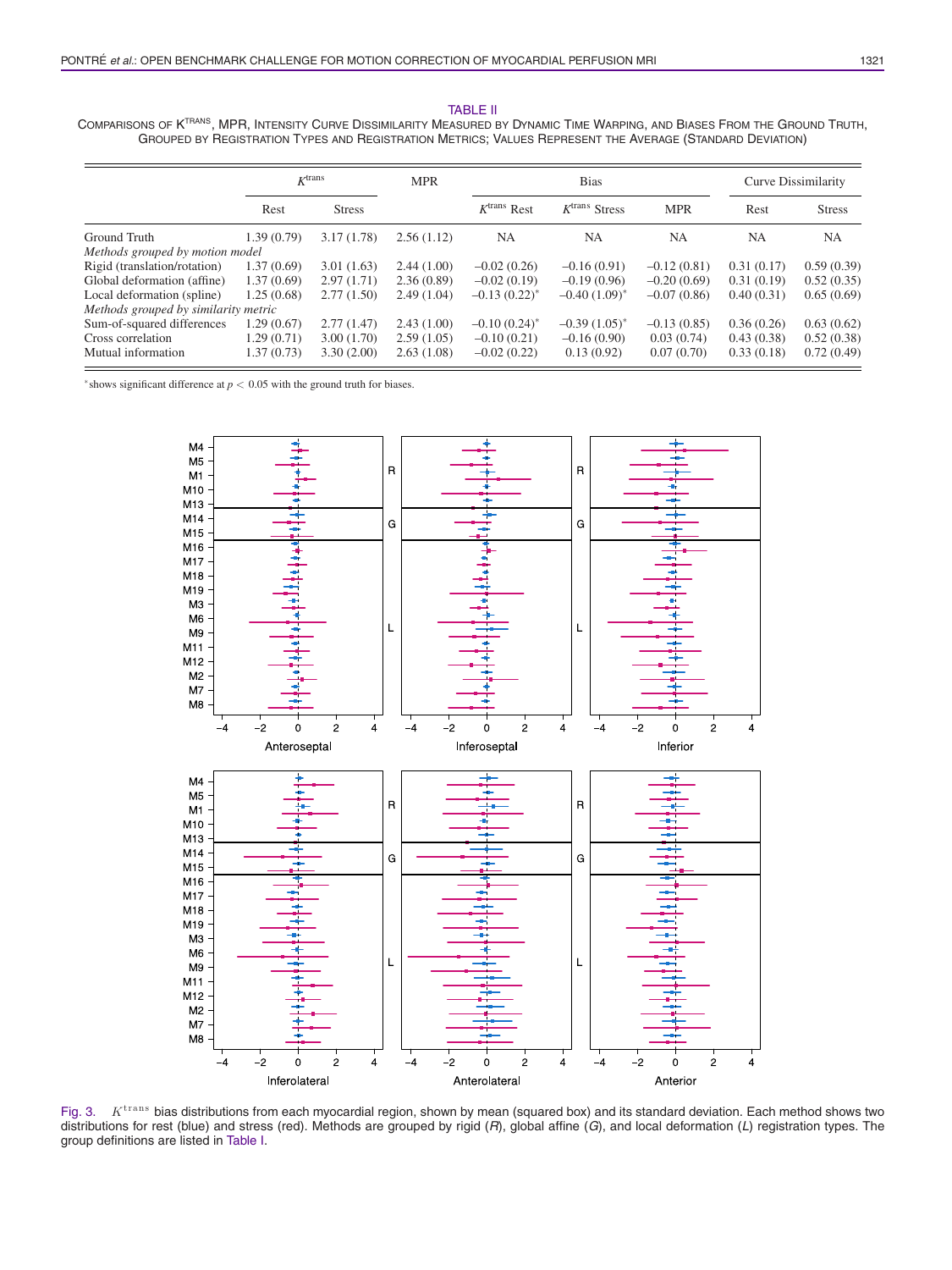#### TABLE II COMPARISONS OF KTRANS, MPR, INTENSITY CURVE DISSIMILARITY MEASURED BY DYNAMIC TIME WARPING, AND BIASES FROM THE GROUND TRUTH, GROUPED BY REGISTRATION TYPES AND REGISTRATION METRICS; VALUES REPRESENT THE AVERAGE (STANDARD DEVIATION)

|                                      |             | $K$ <sup>trans</sup> |            |                            | <b>Bias</b>                 |               | Curve Dissimilarity |               |  |  |
|--------------------------------------|-------------|----------------------|------------|----------------------------|-----------------------------|---------------|---------------------|---------------|--|--|
|                                      | Rest        | <b>Stress</b>        |            | $K$ <sup>trans</sup> Rest  | $K$ <sup>trans</sup> Stress | <b>MPR</b>    | Rest                | <b>Stress</b> |  |  |
| Ground Truth                         | 1.39 (0.79) | 3.17(1.78)           | 2.56(1.12) | <b>NA</b>                  | <b>NA</b>                   | <b>NA</b>     | <b>NA</b>           | <b>NA</b>     |  |  |
| Methods grouped by motion model      |             |                      |            |                            |                             |               |                     |               |  |  |
| Rigid (translation/rotation)         | 1.37(0.69)  | 3.01(1.63)           | 2.44(1.00) | $-0.02(0.26)$              | $-0.16(0.91)$               | $-0.12(0.81)$ | 0.31(0.17)          | 0.59(0.39)    |  |  |
| Global deformation (affine)          | 1.37(0.69)  | 2.97(1.71)           | 2.36(0.89) | $-0.02(0.19)$              | $-0.19(0.96)$               | $-0.20(0.69)$ | 0.31(0.19)          | 0.52(0.35)    |  |  |
| Local deformation (spline)           | 1.25(0.68)  | 2.77(1.50)           | 2.49(1.04) | $-0.13(0.22)^{*}$          | $-0.40(1.09)^{*}$           | $-0.07(0.86)$ | 0.40(0.31)          | 0.65(0.69)    |  |  |
| Methods grouped by similarity metric |             |                      |            |                            |                             |               |                     |               |  |  |
| Sum-of-squared differences           | 1.29(0.67)  | 2.77(1.47)           | 2.43(1.00) | $-0.10(0.24)$ <sup>*</sup> | $-0.39(1.05)^{*}$           | $-0.13(0.85)$ | 0.36(0.26)          | 0.63(0.62)    |  |  |
| Cross correlation                    | 1.29 (0.71) | 3.00(1.70)           | 2.59(1.05) | $-0.10(0.21)$              | $-0.16(0.90)$               | 0.03(0.74)    | 0.43(0.38)          | 0.52(0.38)    |  |  |
| Mutual information                   | 1.37 (0.73) | 3.30(2.00)           | 2.63(1.08) | $-0.02(0.22)$              | 0.13(0.92)                  | 0.07(0.70)    | 0.33(0.18)          | 0.72(0.49)    |  |  |
|                                      |             |                      |            |                            |                             |               |                     |               |  |  |

<sup>∗</sup>shows significant difference at *p* < 0.05 with the ground truth for biases.



Fig. 3.  $K<sup>trans</sup>$  bias distributions from each myocardial region, shown by mean (squared box) and its standard deviation. Each method shows two distributions for rest (blue) and stress (red). Methods are grouped by rigid (*R*), global affine (*G*), and local deformation (*L*) registration types. The group definitions are listed in Table I.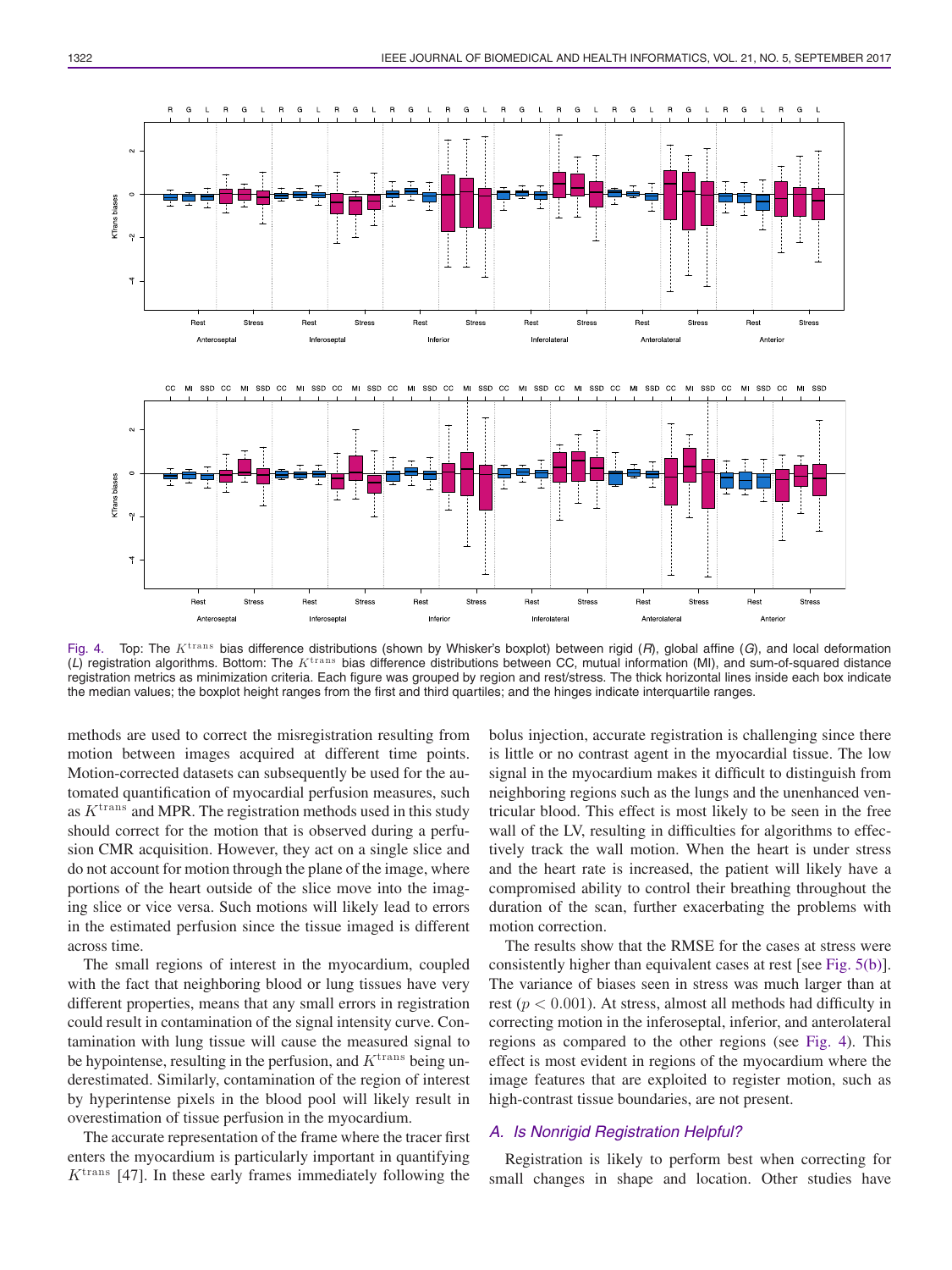

Fig. 4. Top: The Ktrans bias difference distributions (shown by Whisker's boxplot) between rigid (*R*), global affine (*G*), and local deformation (*L*) registration algorithms. Bottom: The Ktrans bias difference distributions between CC, mutual information (MI), and sum-of-squared distance registration metrics as minimization criteria. Each figure was grouped by region and rest/stress. The thick horizontal lines inside each box indicate the median values; the boxplot height ranges from the first and third quartiles; and the hinges indicate interquartile ranges.

methods are used to correct the misregistration resulting from motion between images acquired at different time points. Motion-corrected datasets can subsequently be used for the automated quantification of myocardial perfusion measures, such as  $K<sup>trans</sup>$  and MPR. The registration methods used in this study should correct for the motion that is observed during a perfusion CMR acquisition. However, they act on a single slice and do not account for motion through the plane of the image, where portions of the heart outside of the slice move into the imaging slice or vice versa. Such motions will likely lead to errors in the estimated perfusion since the tissue imaged is different across time.

The small regions of interest in the myocardium, coupled with the fact that neighboring blood or lung tissues have very different properties, means that any small errors in registration could result in contamination of the signal intensity curve. Contamination with lung tissue will cause the measured signal to be hypointense, resulting in the perfusion, and  $K^{\text{trans}}$  being underestimated. Similarly, contamination of the region of interest by hyperintense pixels in the blood pool will likely result in overestimation of tissue perfusion in the myocardium.

The accurate representation of the frame where the tracer first enters the myocardium is particularly important in quantifying  $K^{\text{trans}}$  [47]. In these early frames immediately following the

bolus injection, accurate registration is challenging since there is little or no contrast agent in the myocardial tissue. The low signal in the myocardium makes it difficult to distinguish from neighboring regions such as the lungs and the unenhanced ventricular blood. This effect is most likely to be seen in the free wall of the LV, resulting in difficulties for algorithms to effectively track the wall motion. When the heart is under stress and the heart rate is increased, the patient will likely have a compromised ability to control their breathing throughout the duration of the scan, further exacerbating the problems with motion correction.

The results show that the RMSE for the cases at stress were consistently higher than equivalent cases at rest [see Fig. 5(b)]. The variance of biases seen in stress was much larger than at rest ( $p < 0.001$ ). At stress, almost all methods had difficulty in correcting motion in the inferoseptal, inferior, and anterolateral regions as compared to the other regions (see Fig. 4). This effect is most evident in regions of the myocardium where the image features that are exploited to register motion, such as high-contrast tissue boundaries, are not present.

## *A. Is Nonrigid Registration Helpful?*

Registration is likely to perform best when correcting for small changes in shape and location. Other studies have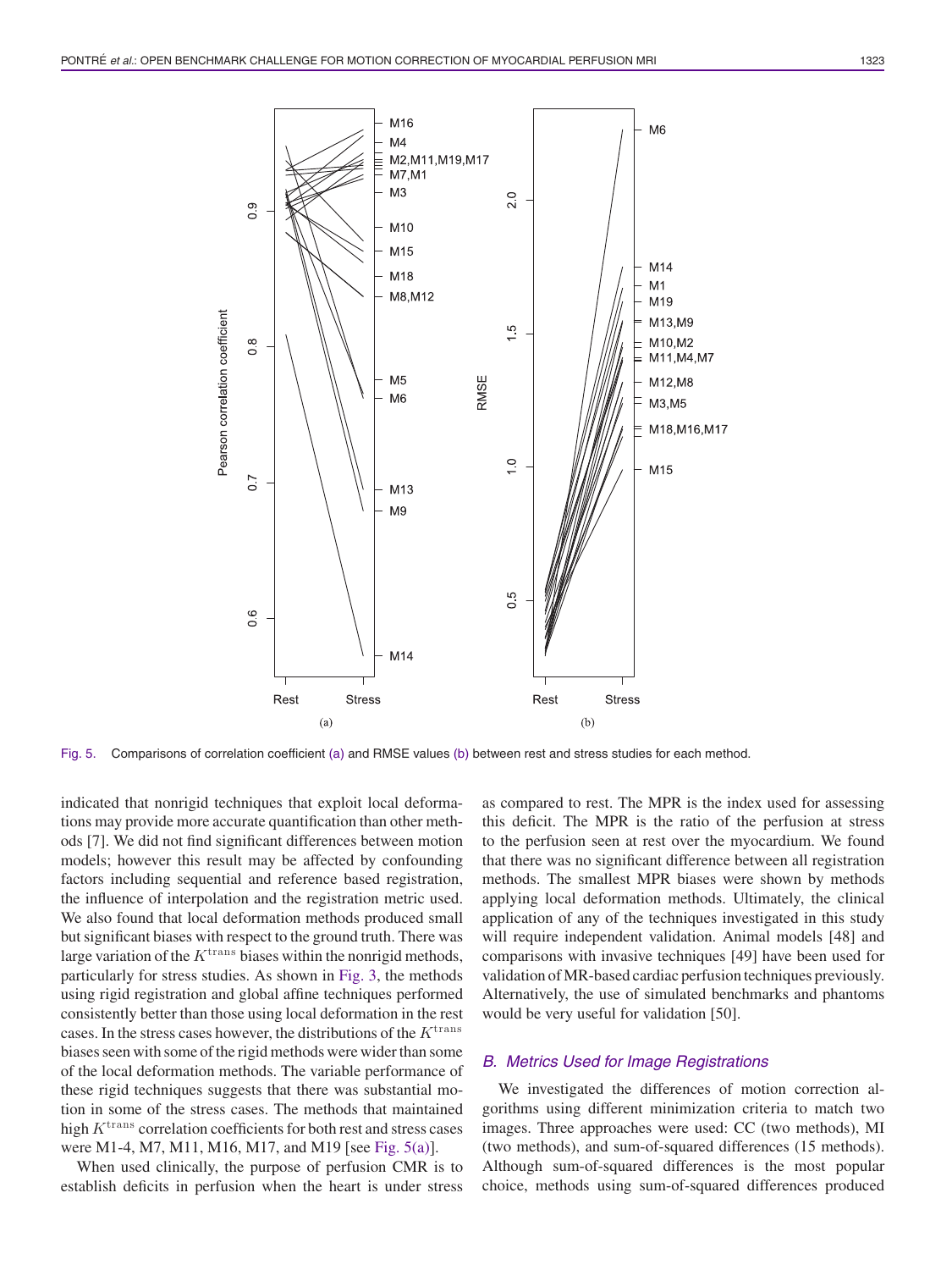

Fig. 5. Comparisons of correlation coefficient (a) and RMSE values (b) between rest and stress studies for each method.

indicated that nonrigid techniques that exploit local deformations may provide more accurate quantification than other methods [7]. We did not find significant differences between motion models; however this result may be affected by confounding factors including sequential and reference based registration, the influence of interpolation and the registration metric used. We also found that local deformation methods produced small but significant biases with respect to the ground truth. There was large variation of the  $K^{\text{trans}}$  biases within the nonrigid methods, particularly for stress studies. As shown in Fig. 3, the methods using rigid registration and global affine techniques performed consistently better than those using local deformation in the rest cases. In the stress cases however, the distributions of the  $K^{\text{trans}}$ biases seen with some of the rigid methods were wider than some of the local deformation methods. The variable performance of these rigid techniques suggests that there was substantial motion in some of the stress cases. The methods that maintained high  $K^{\text{trans}}$  correlation coefficients for both rest and stress cases were M1-4, M7, M11, M16, M17, and M19 [see Fig. 5(a)].

When used clinically, the purpose of perfusion CMR is to establish deficits in perfusion when the heart is under stress as compared to rest. The MPR is the index used for assessing this deficit. The MPR is the ratio of the perfusion at stress to the perfusion seen at rest over the myocardium. We found that there was no significant difference between all registration methods. The smallest MPR biases were shown by methods applying local deformation methods. Ultimately, the clinical application of any of the techniques investigated in this study will require independent validation. Animal models [48] and comparisons with invasive techniques [49] have been used for validation of MR-based cardiac perfusion techniques previously. Alternatively, the use of simulated benchmarks and phantoms would be very useful for validation [50].

## *B. Metrics Used for Image Registrations*

We investigated the differences of motion correction algorithms using different minimization criteria to match two images. Three approaches were used: CC (two methods), MI (two methods), and sum-of-squared differences (15 methods). Although sum-of-squared differences is the most popular choice, methods using sum-of-squared differences produced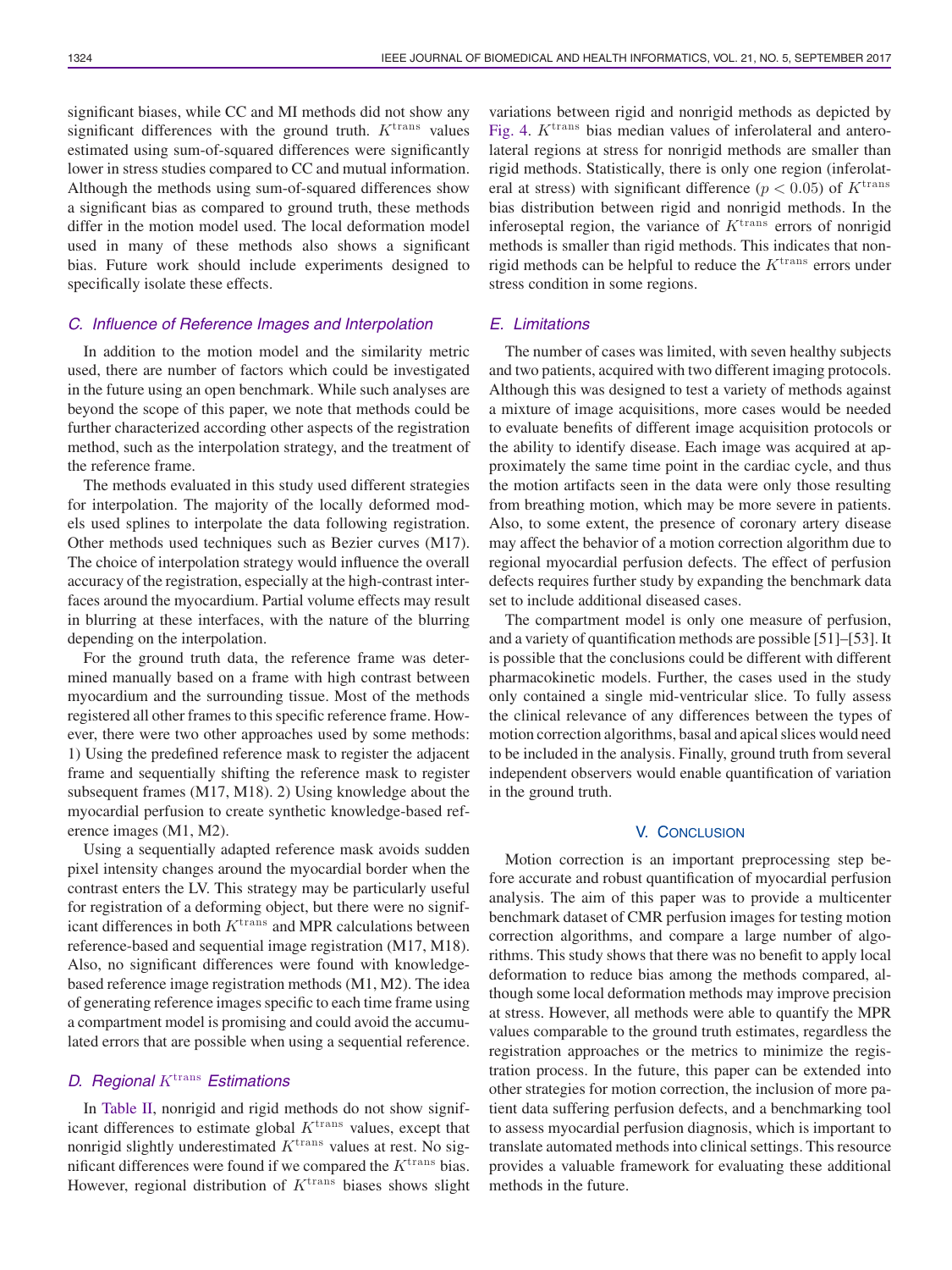significant biases, while CC and MI methods did not show any significant differences with the ground truth.  $K<sup>trans</sup>$  values estimated using sum-of-squared differences were significantly lower in stress studies compared to CC and mutual information. Although the methods using sum-of-squared differences show a significant bias as compared to ground truth, these methods differ in the motion model used. The local deformation model used in many of these methods also shows a significant bias. Future work should include experiments designed to specifically isolate these effects.

### *C. Influence of Reference Images and Interpolation*

In addition to the motion model and the similarity metric used, there are number of factors which could be investigated in the future using an open benchmark. While such analyses are beyond the scope of this paper, we note that methods could be further characterized according other aspects of the registration method, such as the interpolation strategy, and the treatment of the reference frame.

The methods evaluated in this study used different strategies for interpolation. The majority of the locally deformed models used splines to interpolate the data following registration. Other methods used techniques such as Bezier curves (M17). The choice of interpolation strategy would influence the overall accuracy of the registration, especially at the high-contrast interfaces around the myocardium. Partial volume effects may result in blurring at these interfaces, with the nature of the blurring depending on the interpolation.

For the ground truth data, the reference frame was determined manually based on a frame with high contrast between myocardium and the surrounding tissue. Most of the methods registered all other frames to this specific reference frame. However, there were two other approaches used by some methods: 1) Using the predefined reference mask to register the adjacent frame and sequentially shifting the reference mask to register subsequent frames (M17, M18). 2) Using knowledge about the myocardial perfusion to create synthetic knowledge-based reference images (M1, M2).

Using a sequentially adapted reference mask avoids sudden pixel intensity changes around the myocardial border when the contrast enters the LV. This strategy may be particularly useful for registration of a deforming object, but there were no significant differences in both  $K^{\text{trans}}$  and MPR calculations between reference-based and sequential image registration (M17, M18). Also, no significant differences were found with knowledgebased reference image registration methods (M1, M2). The idea of generating reference images specific to each time frame using a compartment model is promising and could avoid the accumulated errors that are possible when using a sequential reference.

## *D. Regional* K<sup>trans</sup> *Estimations*

In Table II, nonrigid and rigid methods do not show significant differences to estimate global  $K<sup>trans</sup>$  values, except that nonrigid slightly underestimated  $K^{\text{trans}}$  values at rest. No significant differences were found if we compared the  $K^{\text{trans}}$  bias. However, regional distribution of  $K^{\text{trans}}$  biases shows slight variations between rigid and nonrigid methods as depicted by Fig. 4.  $K^{\text{trans}}$  bias median values of inferolateral and anterolateral regions at stress for nonrigid methods are smaller than rigid methods. Statistically, there is only one region (inferolateral at stress) with significant difference ( $p < 0.05$ ) of  $K<sup>trans</sup>$ bias distribution between rigid and nonrigid methods. In the inferoseptal region, the variance of  $K<sup>trans</sup>$  errors of nonrigid methods is smaller than rigid methods. This indicates that nonrigid methods can be helpful to reduce the  $K<sup>trans</sup>$  errors under stress condition in some regions.

## *E. Limitations*

The number of cases was limited, with seven healthy subjects and two patients, acquired with two different imaging protocols. Although this was designed to test a variety of methods against a mixture of image acquisitions, more cases would be needed to evaluate benefits of different image acquisition protocols or the ability to identify disease. Each image was acquired at approximately the same time point in the cardiac cycle, and thus the motion artifacts seen in the data were only those resulting from breathing motion, which may be more severe in patients. Also, to some extent, the presence of coronary artery disease may affect the behavior of a motion correction algorithm due to regional myocardial perfusion defects. The effect of perfusion defects requires further study by expanding the benchmark data set to include additional diseased cases.

The compartment model is only one measure of perfusion, and a variety of quantification methods are possible [51]–[53]. It is possible that the conclusions could be different with different pharmacokinetic models. Further, the cases used in the study only contained a single mid-ventricular slice. To fully assess the clinical relevance of any differences between the types of motion correction algorithms, basal and apical slices would need to be included in the analysis. Finally, ground truth from several independent observers would enable quantification of variation in the ground truth.

#### V. CONCLUSION

Motion correction is an important preprocessing step before accurate and robust quantification of myocardial perfusion analysis. The aim of this paper was to provide a multicenter benchmark dataset of CMR perfusion images for testing motion correction algorithms, and compare a large number of algorithms. This study shows that there was no benefit to apply local deformation to reduce bias among the methods compared, although some local deformation methods may improve precision at stress. However, all methods were able to quantify the MPR values comparable to the ground truth estimates, regardless the registration approaches or the metrics to minimize the registration process. In the future, this paper can be extended into other strategies for motion correction, the inclusion of more patient data suffering perfusion defects, and a benchmarking tool to assess myocardial perfusion diagnosis, which is important to translate automated methods into clinical settings. This resource provides a valuable framework for evaluating these additional methods in the future.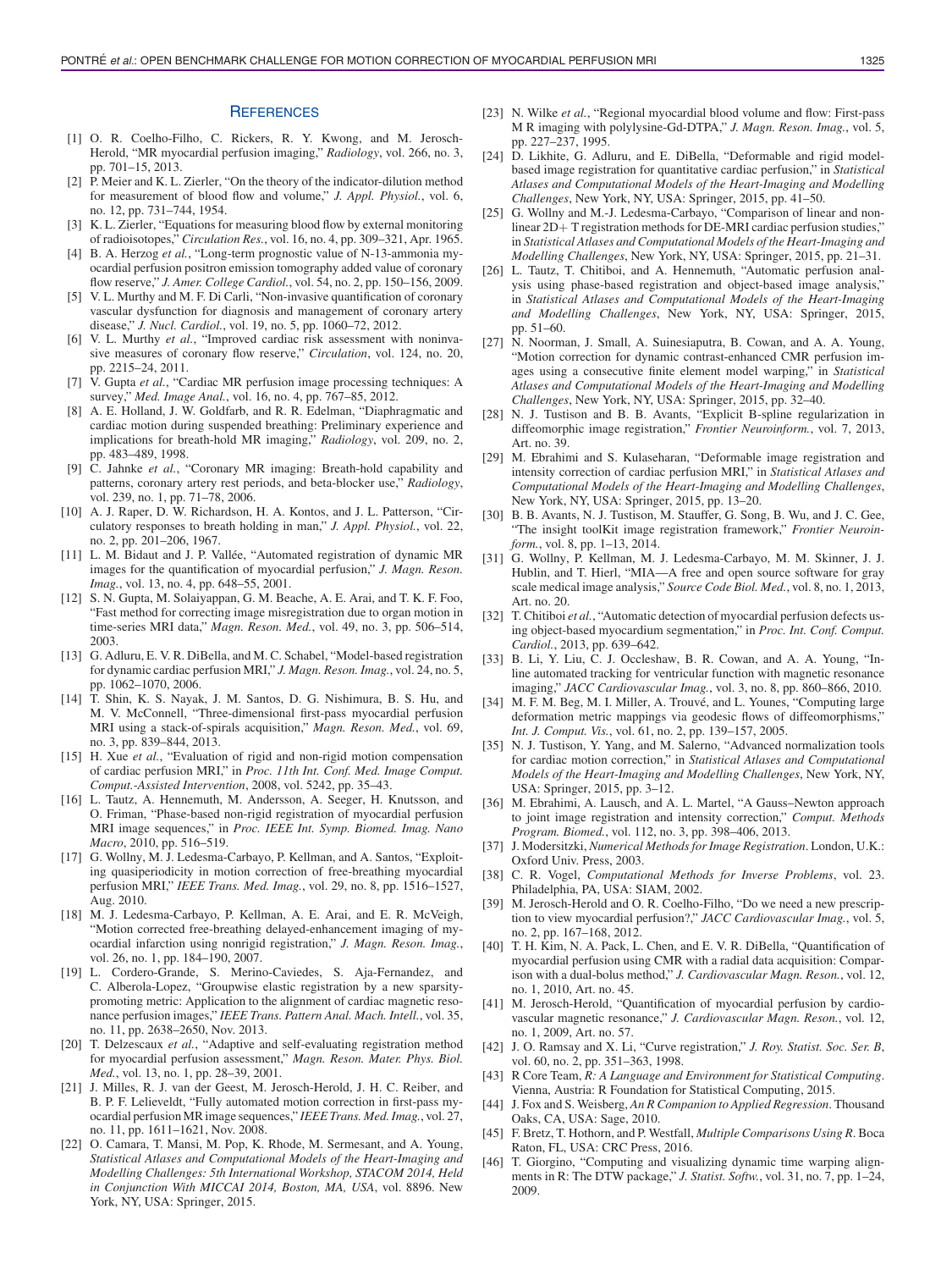#### **REFERENCES**

- [1] O. R. Coelho-Filho, C. Rickers, R. Y. Kwong, and M. Jerosch-Herold, "MR myocardial perfusion imaging," *Radiology*, vol. 266, no. 3, pp. 701–15, 2013.
- [2] P. Meier and K. L. Zierler, "On the theory of the indicator-dilution method for measurement of blood flow and volume," *J. Appl. Physiol.*, vol. 6, no. 12, pp. 731–744, 1954.
- [3] K. L. Zierler, "Equations for measuring blood flow by external monitoring of radioisotopes," *Circulation Res.*, vol. 16, no. 4, pp. 309–321, Apr. 1965.
- [4] B. A. Herzog *et al.*, "Long-term prognostic value of N-13-ammonia myocardial perfusion positron emission tomography added value of coronary flow reserve," *J. Amer. College Cardiol.*, vol. 54, no. 2, pp. 150–156, 2009.
- [5] V. L. Murthy and M. F. Di Carli, "Non-invasive quantification of coronary vascular dysfunction for diagnosis and management of coronary artery disease," *J. Nucl. Cardiol.*, vol. 19, no. 5, pp. 1060–72, 2012.
- [6] V. L. Murthy *et al.*, "Improved cardiac risk assessment with noninvasive measures of coronary flow reserve," *Circulation*, vol. 124, no. 20, pp. 2215–24, 2011.
- [7] V. Gupta *et al.*, "Cardiac MR perfusion image processing techniques: A survey," *Med. Image Anal.*, vol. 16, no. 4, pp. 767–85, 2012.
- [8] A. E. Holland, J. W. Goldfarb, and R. R. Edelman, "Diaphragmatic and cardiac motion during suspended breathing: Preliminary experience and implications for breath-hold MR imaging," *Radiology*, vol. 209, no. 2, pp. 483–489, 1998.
- [9] C. Jahnke *et al.*, "Coronary MR imaging: Breath-hold capability and patterns, coronary artery rest periods, and beta-blocker use," *Radiology*, vol. 239, no. 1, pp. 71–78, 2006.
- [10] A. J. Raper, D. W. Richardson, H. A. Kontos, and J. L. Patterson, "Circulatory responses to breath holding in man," *J. Appl. Physiol.*, vol. 22, no. 2, pp. 201–206, 1967.
- [11] L. M. Bidaut and J. P. Vallée, "Automated registration of dynamic MR images for the quantification of myocardial perfusion," *J. Magn. Reson. Imag.*, vol. 13, no. 4, pp. 648–55, 2001.
- [12] S. N. Gupta, M. Solaiyappan, G. M. Beache, A. E. Arai, and T. K. F. Foo, "Fast method for correcting image misregistration due to organ motion in time-series MRI data," *Magn. Reson. Med.*, vol. 49, no. 3, pp. 506–514, 2003.
- [13] G. Adluru, E. V. R. DiBella, and M. C. Schabel, "Model-based registration for dynamic cardiac perfusion MRI," *J. Magn. Reson. Imag.*, vol. 24, no. 5, pp. 1062–1070, 2006.
- [14] T. Shin, K. S. Nayak, J. M. Santos, D. G. Nishimura, B. S. Hu, and M. V. McConnell, "Three-dimensional first-pass myocardial perfusion MRI using a stack-of-spirals acquisition," *Magn. Reson. Med.*, vol. 69, no. 3, pp. 839–844, 2013.
- [15] H. Xue *et al.*, "Evaluation of rigid and non-rigid motion compensation of cardiac perfusion MRI," in *Proc. 11th Int. Conf. Med. Image Comput. Comput.-Assisted Intervention*, 2008, vol. 5242, pp. 35–43.
- [16] L. Tautz, A. Hennemuth, M. Andersson, A. Seeger, H. Knutsson, and O. Friman, "Phase-based non-rigid registration of myocardial perfusion MRI image sequences," in *Proc. IEEE Int. Symp. Biomed. Imag. Nano Macro*, 2010, pp. 516–519.
- [17] G. Wollny, M. J. Ledesma-Carbayo, P. Kellman, and A. Santos, "Exploiting quasiperiodicity in motion correction of free-breathing myocardial perfusion MRI," *IEEE Trans. Med. Imag.*, vol. 29, no. 8, pp. 1516–1527, Aug. 2010.
- [18] M. J. Ledesma-Carbayo, P. Kellman, A. E. Arai, and E. R. McVeigh, "Motion corrected free-breathing delayed-enhancement imaging of myocardial infarction using nonrigid registration," *J. Magn. Reson. Imag.*, vol. 26, no. 1, pp. 184–190, 2007.
- [19] L. Cordero-Grande, S. Merino-Caviedes, S. Aja-Fernandez, and C. Alberola-Lopez, "Groupwise elastic registration by a new sparsitypromoting metric: Application to the alignment of cardiac magnetic resonance perfusion images," *IEEE Trans. Pattern Anal. Mach. Intell.*, vol. 35, no. 11, pp. 2638–2650, Nov. 2013.
- [20] T. Delzescaux *et al.*, "Adaptive and self-evaluating registration method for myocardial perfusion assessment," *Magn. Reson. Mater. Phys. Biol. Med.*, vol. 13, no. 1, pp. 28–39, 2001.
- [21] J. Milles, R. J. van der Geest, M. Jerosch-Herold, J. H. C. Reiber, and B. P. F. Lelieveldt, "Fully automated motion correction in first-pass myocardial perfusion MR image sequences," *IEEE Trans. Med. Imag.*, vol. 27, no. 11, pp. 1611–1621, Nov. 2008.
- [22] O. Camara, T. Mansi, M. Pop, K. Rhode, M. Sermesant, and A. Young, *Statistical Atlases and Computational Models of the Heart-Imaging and Modelling Challenges: 5th International Workshop, STACOM 2014, Held in Conjunction With MICCAI 2014, Boston, MA, USA*, vol. 8896. New York, NY, USA: Springer, 2015.
- [23] N. Wilke et al., "Regional myocardial blood volume and flow: First-pass M R imaging with polylysine-Gd-DTPA," *J. Magn. Reson. Imag.*, vol. 5, pp. 227–237, 1995.
- [24] D. Likhite, G. Adluru, and E. DiBella, "Deformable and rigid modelbased image registration for quantitative cardiac perfusion," in *Statistical Atlases and Computational Models of the Heart-Imaging and Modelling Challenges*, New York, NY, USA: Springer, 2015, pp. 41–50.
- [25] G. Wollny and M.-J. Ledesma-Carbayo, "Comparison of linear and nonlinear 2D+ T registration methods for DE-MRI cardiac perfusion studies, in *Statistical Atlases and Computational Models of the Heart-Imaging and Modelling Challenges*, New York, NY, USA: Springer, 2015, pp. 21–31.
- [26] L. Tautz, T. Chitiboi, and A. Hennemuth, "Automatic perfusion analysis using phase-based registration and object-based image analysis," in *Statistical Atlases and Computational Models of the Heart-Imaging and Modelling Challenges*, New York, NY, USA: Springer, 2015, pp. 51–60.
- [27] N. Noorman, J. Small, A. Suinesiaputra, B. Cowan, and A. A. Young, "Motion correction for dynamic contrast-enhanced CMR perfusion images using a consecutive finite element model warping," in *Statistical Atlases and Computational Models of the Heart-Imaging and Modelling Challenges*, New York, NY, USA: Springer, 2015, pp. 32–40.
- [28] N. J. Tustison and B. B. Avants, "Explicit B-spline regularization in diffeomorphic image registration," *Frontier Neuroinform.*, vol. 7, 2013, Art. no. 39.
- [29] M. Ebrahimi and S. Kulaseharan, "Deformable image registration and intensity correction of cardiac perfusion MRI," in *Statistical Atlases and Computational Models of the Heart-Imaging and Modelling Challenges*, New York, NY, USA: Springer, 2015, pp. 13–20.
- [30] B. B. Avants, N. J. Tustison, M. Stauffer, G. Song, B. Wu, and J. C. Gee, "The insight toolKit image registration framework," *Frontier Neuroinform.*, vol. 8, pp. 1–13, 2014.
- [31] G. Wollny, P. Kellman, M. J. Ledesma-Carbayo, M. M. Skinner, J. J. Hublin, and T. Hierl, "MIA—A free and open source software for gray scale medical image analysis," *Source Code Biol. Med.*, vol. 8, no. 1, 2013, Art. no. 20.
- [32] T. Chitiboi et al., "Automatic detection of myocardial perfusion defects using object-based myocardium segmentation," in *Proc. Int. Conf. Comput. Cardiol.*, 2013, pp. 639–642.
- [33] B. Li, Y. Liu, C. J. Occleshaw, B. R. Cowan, and A. A. Young, "Inline automated tracking for ventricular function with magnetic resonance imaging," *JACC Cardiovascular Imag.*, vol. 3, no. 8, pp. 860–866, 2010.
- [34] M. F. M. Beg, M. I. Miller, A. Trouvé, and L. Younes, "Computing large deformation metric mappings via geodesic flows of diffeomorphisms," *Int. J. Comput. Vis.*, vol. 61, no. 2, pp. 139–157, 2005.
- [35] N. J. Tustison, Y. Yang, and M. Salerno, "Advanced normalization tools for cardiac motion correction," in *Statistical Atlases and Computational Models of the Heart-Imaging and Modelling Challenges*, New York, NY, USA: Springer, 2015, pp. 3–12.
- [36] M. Ebrahimi, A. Lausch, and A. L. Martel, "A Gauss-Newton approach to joint image registration and intensity correction," *Comput. Methods Program. Biomed.*, vol. 112, no. 3, pp. 398–406, 2013.
- [37] J. Modersitzki, *Numerical Methods for Image Registration*. London, U.K.: Oxford Univ. Press, 2003.
- [38] C. R. Vogel, *Computational Methods for Inverse Problems*, vol. 23. Philadelphia, PA, USA: SIAM, 2002.
- [39] M. Jerosch-Herold and O. R. Coelho-Filho, "Do we need a new prescription to view myocardial perfusion?," *JACC Cardiovascular Imag.*, vol. 5, no. 2, pp. 167–168, 2012.
- [40] T. H. Kim, N. A. Pack, L. Chen, and E. V. R. DiBella, "Quantification of myocardial perfusion using CMR with a radial data acquisition: Comparison with a dual-bolus method," *J. Cardiovascular Magn. Reson.*, vol. 12, no. 1, 2010, Art. no. 45.
- [41] M. Jerosch-Herold, "Quantification of myocardial perfusion by cardiovascular magnetic resonance," *J. Cardiovascular Magn. Reson.*, vol. 12, no. 1, 2009, Art. no. 57.
- [42] J. O. Ramsay and X. Li, "Curve registration," *J. Roy. Statist. Soc. Ser. B*, vol. 60, no. 2, pp. 351–363, 1998.
- [43] R Core Team, *R: A Language and Environment for Statistical Computing*. Vienna, Austria: R Foundation for Statistical Computing, 2015.
- [44] J. Fox and S. Weisberg, *An R Companion to Applied Regression*. Thousand Oaks, CA, USA: Sage, 2010.
- [45] F. Bretz, T. Hothorn, and P. Westfall, *Multiple Comparisons Using R*. Boca Raton, FL, USA: CRC Press, 2016.
- [46] T. Giorgino, "Computing and visualizing dynamic time warping alignments in R: The DTW package," *J. Statist. Softw.*, vol. 31, no. 7, pp. 1–24, 2009.